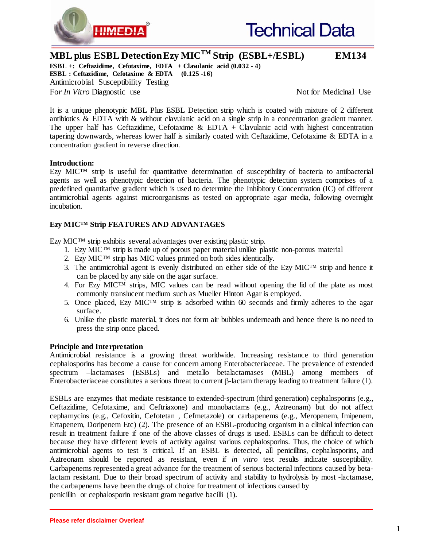



**MBL plus ESBL Detection Ezy MICTM Strip (ESBL+/ESBL) EM134**

**ESBL +:** Ceftazidime, Cefotaxime, **EDTA** + Clavulanic acid  $(0.032 - 4)$ **ESBL : Ceftazidime, Cefotaxime & EDTA (0.125 -16)**  Antimicrobial Susceptibility Testing For *In Vitro* Diagnostic use *Not In Vitro Diagnostic use* **Notified Executed Notified Use** 

It is a unique phenotypic MBL Plus ESBL Detection strip which is coated with mixture of 2 different antibiotics & EDTA with & without clavulanic acid on a single strip in a concentration gradient manner. The upper half has Ceftazidime, Cefotaxime & EDTA + Clavulanic acid with highest concentration tapering downwards, whereas lower half is similarly coated with Ceftazidime, Cefotaxime & EDTA in a concentration gradient in reverse direction.

# **Introduction:**

Ezy MIC™ strip is useful for quantitative determination of susceptibility of bacteria to antibacterial agents as well as phenotypic detection of bacteria. The phenotypic detection system comprises of a predefined quantitative gradient which is used to determine the Inhibitory Concentration (IC) of different antimicrobial agents against microorganisms as tested on appropriate agar media, following overnight incubation.

# **Ezy MIC™ Strip FEATURES AND ADVANTAGES**

Ezy MIC™ strip exhibits several advantages over existing plastic strip.

- 1. Ezy MIC<sup>™</sup> strip is made up of porous paper material unlike plastic non-porous material
- 2. Ezy MIC™ strip has MIC values printed on both sides identically.
- 3. The antimicrobial agent is evenly distributed on either side of the Ezy MIC<sup>TM</sup> strip and hence it can be placed by any side on the agar surface.
- 4. For Ezy MIC<sup>TM</sup> strips, MIC values can be read without opening the lid of the plate as most commonly translucent medium such as Mueller Hinton Agar is employed.
- 5. Once placed, Ezy MIC<sup>TM</sup> strip is adsorbed within 60 seconds and firmly adheres to the agar surface.
- 6. Unlike the plastic material, it does not form air bubbles underneath and hence there is no need to press the strip once placed.

# **Principle and Interpretation**

Antimicrobial resistance is a growing threat worldwide. Increasing resistance to third generation cephalosporins has become a cause for concern among Enterobacteriaceae. The prevalence of extended spectrum –lactamases (ESBLs) and metallo betalactamases (MBL) among members of Enterobacteriaceae constitutes a serious threat to current β-lactam therapy leading to treatment failure (1).

ESBLs are enzymes that mediate resistance to extended-spectrum (third generation) cephalosporins (e.g., Ceftazidime, Cefotaxime, and Ceftriaxone) and monobactams (e.g., Aztreonam) but do not affect cephamycins (e.g., Cefoxitin, Cefotetan , Cefmetazole) or carbapenems (e.g., Meropenem, Imipenem, Ertapenem, Doripenem Etc) (2). The presence of an ESBL-producing organism in a clinical infection can result in treatment failure if one of the above classes of drugs is used. ESBLs can be difficult to detect because they have different levels of activity against various cephalosporins. Thus, the choice of which antimicrobial agents to test is critical. If an ESBL is detected, all penicillins, cephalosporins, and Aztreonam should be reported as resistant, even if *in vitro* test results indicate susceptibility. Carbapenems represented a great advance for the treatment of serious bacterial infections caused by betalactam resistant. Due to their broad spectrum of activity and stability to hydrolysis by most -lactamase, the carbapenems have been the drugs of choice for treatment of infections caused by penicillin or cephalosporin resistant gram negative bacilli (1).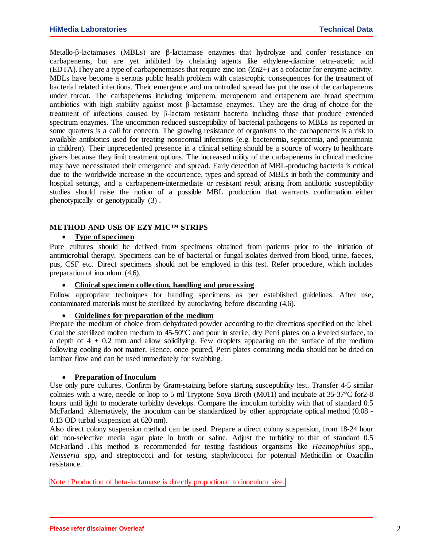Metallo-β-lactamases (MBLs) are β-lactamase enzymes that hydrolyze and confer resistance on carbapenems, but are yet inhibited by chelating agents like ethylene-diamine tetra-acetic acid (EDTA).They are a type of carbapenemases that require zinc ion (Zn2+) as a cofactor for enzyme activity. MBLs have become a serious public health problem with catastrophic consequences for the treatment of bacterial related infections. Their emergence and uncontrolled spread has put the use of the carbapenems under threat. The carbapenems including imipenem, meropenem and ertapenem are broad spectrum antibiotics with high stability against most β**-**lactamase enzymes. They are the drug of choice for the treatment of infections caused by β-lactam resistant bacteria including those that produce extended spectrum enzymes. The uncommon reduced susceptibility of bacterial pathogens to MBLs as reported in some quarters is a call for concern. The growing resistance of organisms to the carbapenems is a risk to available antibiotics used for treating nosocomial infections (e.g. bacteremia, septicemia, and pneumonia in children). Their unprecedented presence in a clinical setting should be a source of worry to healthcare givers because they limit treatment options. The increased utility of the carbapenems in clinical medicine may have necessitated their emergence and spread. Early detection of MBL-producing bacteria is critical due to the worldwide increase in the occurrence, types and spread of MBLs in both the community and hospital settings, and a carbapenem-intermediate or resistant result arising from antibiotic susceptibility studies should raise the notion of a possible MBL production that warrants confirmation either phenotypically or genotypically (3) .

## **METHOD AND USE OF EZY MIC™ STRIPS**

# • **Type of specimen**

Pure cultures should be derived from specimens obtained from patients prior to the initiation of antimicrobial therapy. Specimens can be of bacterial or fungal isolates derived from blood, urine, faeces, pus, CSF etc. Direct specimens should not be employed in this test. Refer procedure, which includes preparation of inoculum (4,6).

# • **Clinical specimen collection, handling and processing**

Follow appropriate techniques for handling specimens as per established guidelines. After use, contaminated materials must be sterilized by autoclaving before discarding (4,6).

#### • **Guidelines for preparation of the medium**

Prepare the medium of choice from dehydrated powder according to the directions specified on the label. Cool the sterilized molten medium to 45-50°C and pour in sterile, dry Petri plates on a leveled surface, to a depth of  $4 \pm 0.2$  mm and allow solidifying. Few droplets appearing on the surface of the medium following cooling do not matter. Hence, once poured, Petri plates containing media should not be dried on laminar flow and can be used immediately for swabbing.

#### • **Preparation of Inoculum**

Use only pure cultures. Confirm by Gram-staining before starting susceptibility test. Transfer 4-5 similar colonies with a wire, needle or loop to 5 ml Tryptone Soya Broth (M011) and incubate at 35-37°C for2-8 hours until light to moderate turbidity develops. Compare the inoculum turbidity with that of standard 0.5 McFarland. Alternatively, the inoculum can be standardized by other appropriate optical method (0.08 - 0.13 OD turbid suspension at 620 nm).

Also direct colony suspension method can be used. Prepare a direct colony suspension, from 18-24 hour old non-selective media agar plate in broth or saline. Adjust the turbidity to that of standard 0.5 McFarland .This method is recommended for testing fastidious organisms like *Haemophilus* spp., *Neisseria* spp, and streptococci and for testing staphylococci for potential Methicillin or Oxacillin resistance.

Note : Production of beta-lactamase is directly proportional to inoculum size.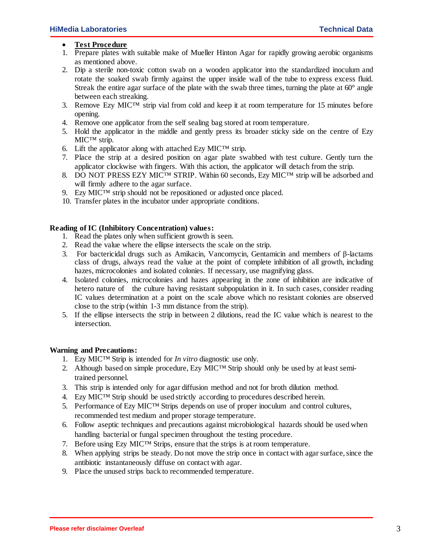### • **Test Procedure**

- 1. Prepare plates with suitable make of Mueller Hinton Agar for rapidly growing aerobic organisms as mentioned above.
- 2. Dip a sterile non-toxic cotton swab on a wooden applicator into the standardized inoculum and rotate the soaked swab firmly against the upper inside wall of the tube to express excess fluid. Streak the entire agar surface of the plate with the swab three times, turning the plate at  $60^{\circ}$  angle between each streaking.
- 3. Remove Ezy MIC<sup>™</sup> strip vial from cold and keep it at room temperature for 15 minutes before opening.
- 4. Remove one applicator from the self sealing bag stored at room temperature.
- 5. Hold the applicator in the middle and gently press its broader sticky side on the centre of Ezy MIC™ strip.
- 6. Lift the applicator along with attached Ezy MIC™ strip.
- 7. Place the strip at a desired position on agar plate swabbed with test culture. Gently turn the applicator clockwise with fingers. With this action, the applicator will detach from the strip.
- 8. DO NOT PRESS EZY MIC<sup>TM</sup> STRIP. Within 60 seconds, Ezy MIC<sup>TM</sup> strip will be adsorbed and will firmly adhere to the agar surface.
- 9. Ezy MIC<sup>TM</sup> strip should not be repositioned or adjusted once placed.
- 10. Transfer plates in the incubator under appropriate conditions.

# **Reading of IC (Inhibitory Concentration) values:**

- 1. Read the plates only when sufficient growth is seen.
- 2. Read the value where the ellipse intersects the scale on the strip.
- 3. For bactericidal drugs such as Amikacin, Vancomycin, Gentamicin and members of β-lactams class of drugs, always read the value at the point of complete inhibition of all growth, including hazes, microcolonies and isolated colonies. If necessary, use magnifying glass.
- 4. Isolated colonies, microcolonies and hazes appearing in the zone of inhibition are indicative of hetero nature of the culture having resistant subpopulation in it. In such cases, consider reading IC values determination at a point on the scale above which no resistant colonies are observed close to the strip (within 1-3 mm distance from the strip).
- 5. If the ellipse intersects the strip in between 2 dilutions, read the IC value which is nearest to the intersection.

#### **Warning and Precautions:**

- 1. Ezy MIC™ Strip is intended for *In vitro* diagnostic use only.
- 2. Although based on simple procedure, Ezy MIC™ Strip should only be used by at least semitrained personnel.
- 3. This strip is intended only for agar diffusion method and not for broth dilution method.
- 4. Ezy MIC™ Strip should be used strictly according to procedures described herein.
- 5. Performance of Ezy MIC™ Strips depends on use of proper inoculum and control cultures, recommended test medium and proper storage temperature.
- 6. Follow aseptic techniques and precautions against microbiological hazards should be used when handling bacterial or fungal specimen throughout the testing procedure.
- 7. Before using Ezy MIC™ Strips, ensure that the strips is at room temperature.
- 8. When applying strips be steady. Do not move the strip once in contact with agar surface, since the antibiotic instantaneously diffuse on contact with agar.
- 9. Place the unused strips back to recommended temperature.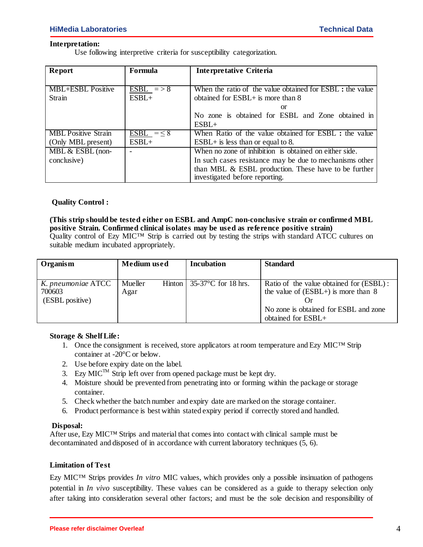# **Interpretation:**

Use following interpretive criteria for susceptibility categorization.

| Report                     | Formula                      | Interpretative Criteria                                   |  |
|----------------------------|------------------------------|-----------------------------------------------------------|--|
|                            |                              |                                                           |  |
| <b>MBL+ESBL</b> Positive   | $\overline{\text{ESBL}}$ =>8 | When the ratio of the value obtained for ESBL : the value |  |
| Strain                     | $ESBL+$                      | obtained for ESBL+ is more than 8                         |  |
|                            |                              | or                                                        |  |
|                            |                              | No zone is obtained for ESBL and Zone obtained in         |  |
|                            |                              | $ESBL+$                                                   |  |
| <b>MBL</b> Positive Strain | ESBL = $\leq$ 8              | When Ratio of the value obtained for ESBL : the value     |  |
| (Only MBL present)         | $ESBL+$                      | $ESBL+$ is less than or equal to 8.                       |  |
| MBL & ESBL (non-           |                              | When no zone of inhibition is obtained on either side.    |  |
| conclusive)                |                              | In such cases resistance may be due to mechanisms other   |  |
|                            |                              | than MBL $\&$ ESBL production. These have to be further   |  |
|                            |                              | investigated before reporting.                            |  |

# **Quality Control :**

### **(This strip should be tested either on ESBL and AmpC non-conclusive strain or confirmed MBL positive Strain. Confirmed clinical isolates may be used as reference positive strain)** Quality control of Ezy MIC™ Strip is carried out by testing the strips with standard ATCC cultures on suitable medium incubated appropriately.

| Organism           | <b>Medium</b> used |  | <b>Incubation</b>                   | <b>Standard</b>                         |
|--------------------|--------------------|--|-------------------------------------|-----------------------------------------|
|                    |                    |  |                                     |                                         |
| K. pneumoniae ATCC | Mueller            |  | Hinton $\vert$ 35-37 °C for 18 hrs. | Ratio of the value obtained for (ESBL): |
| 700603             | Agar               |  |                                     | the value of $(ESBL+)$ is more than 8   |
| (ESBL positive)    |                    |  |                                     |                                         |
|                    |                    |  |                                     | No zone is obtained for ESBL and zone   |
|                    |                    |  |                                     | obtained for ESBL+                      |

# **Storage & Shelf Life:**

- 1. Once the consignment is received, store applicators at room temperature and Ezy MIC™ Strip container at -20°C or below.
- 2. Use before expiry date on the label.
- 3. Ezy MIC<sup>TM</sup> Strip left over from opened package must be kept dry.
- 4. Moisture should be prevented from penetrating into or forming within the package or storage container.
- 5. Check whether the batch number and expiry date are marked on the storage container.
- 6. Product performance is best within stated expiry period if correctly stored and handled.

# **Disposal:**

After use, Ezy MIC™ Strips and material that comes into contact with clinical sample must be decontaminated and disposed of in accordance with current laboratory techniques (5, 6).

# **Limitation of Test**

Ezy MIC™ Strips provides *In vitro* MIC values, which provides only a possible insinuation of pathogens potential in *In vivo* susceptibility. These values can be considered as a guide to therapy selection only after taking into consideration several other factors; and must be the sole decision and responsibility of